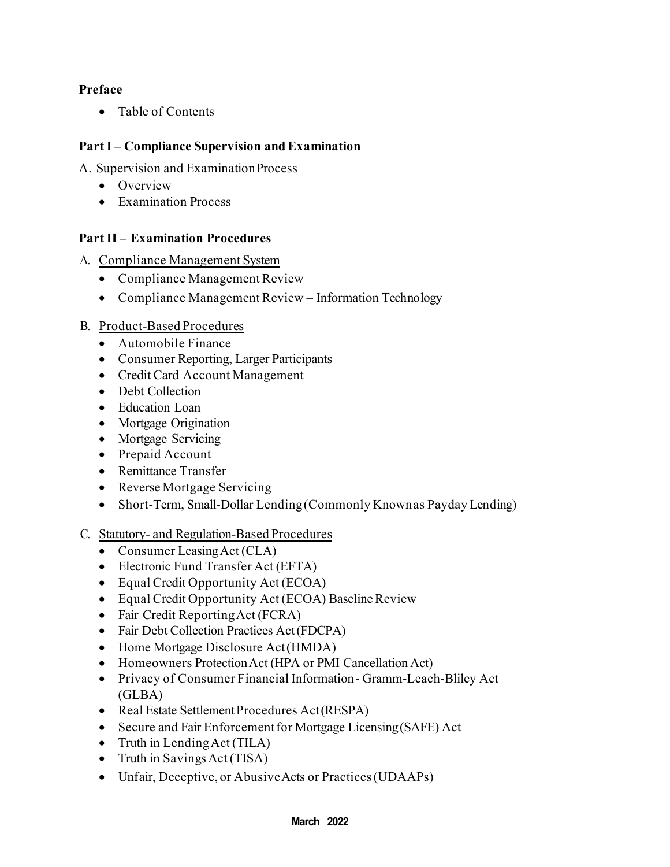# **Preface**

• Table of Contents

# **Part I – Compliance Supervision and Examination**

A. Supervision and ExaminationProcess

- Overview
- Examination Process

# **Part II – Examination Procedures**

- A. Compliance Management System
	- Compliance Management Review
	- Compliance Management Review Information Technology

# B. Product-Based Procedures

- Automobile Finance
- Consumer Reporting, Larger Participants
- Credit Card Account Management
- Debt Collection
- Education Loan
- Mortgage Origination
- Mortgage Servicing
- Prepaid Account
- Remittance Transfer
- Reverse Mortgage Servicing
- Short-Term, Small-Dollar Lending (Commonly Known as Payday Lending)
- C. Statutory- and Regulation-Based Procedures
	- Consumer Leasing Act (CLA)
	- Electronic Fund Transfer Act (EFTA)
	- Equal Credit Opportunity Act (ECOA)
	- Equal Credit Opportunity Act (ECOA) Baseline Review
	- Fair Credit Reporting Act (FCRA)
	- Fair Debt Collection Practices Act (FDCPA)
	- Home Mortgage Disclosure Act (HMDA)
	- Homeowners Protection Act (HPA or PMI Cancellation Act)
	- Privacy of Consumer Financial Information Gramm-Leach-Bliley Act (GLBA)
	- Real Estate Settlement Procedures Act (RESPA)
	- Secure and Fair Enforcementfor Mortgage Licensing(SAFE) Act
	- Truth in Lending Act (TILA)
	- Truth in Savings Act (TISA)
	- Unfair, Deceptive, or AbusiveActs or Practices(UDAAPs)